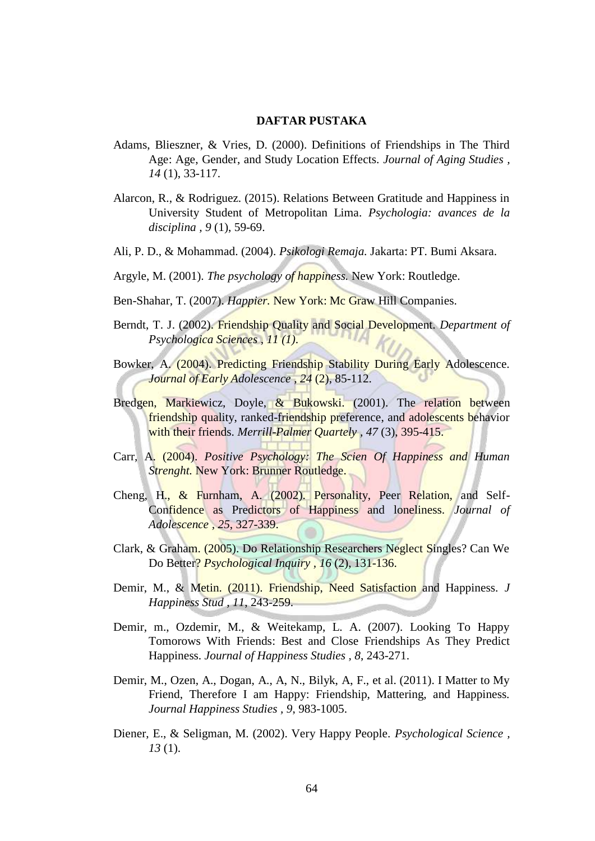## **DAFTAR PUSTAKA**

- Adams, Blieszner, & Vries, D. (2000). Definitions of Friendships in The Third Age: Age, Gender, and Study Location Effects. *Journal of Aging Studies , 14* (1), 33-117.
- Alarcon, R., & Rodriguez. (2015). Relations Between Gratitude and Happiness in University Student of Metropolitan Lima. *Psychologia: avances de la disciplina , 9* (1), 59-69.
- Ali, P. D., & Mohammad. (2004). *Psikologi Remaja.* Jakarta: PT. Bumi Aksara.
- Argyle, M. (2001). *The psychology of happiness.* New York: Routledge.
- Ben-Shahar, T. (2007). *Happier.* New York: Mc Graw Hill Companies.
- Berndt, T. J. (2002). Friendship Quality and Social Development. *Department of Psychologica Sciences , 11 (1)*.
- Bowker, A. (2004). Predicting Friendship Stability During Early Adolescence. *Journal of Early Adolescence , 24* (2), 85-112.
- Bredgen, Markiewicz, Doyle, & Bukowski. (2001). The relation between friendship quality, ranked-friendship preference, and adolescents behavior with their friends. *Merrill-Palmer Quartely , 47* (3), 395-415.
- Carr, A. (2004). *Positive Psychology: The Scien Of Happiness and Human Strenght.* New York: Brunner Routledge.
- Cheng, H., & Furnham, A. (2002). Personality, Peer Relation, and Self-Confidence as Predictors of Happiness and loneliness. *Journal of Adolescence , 25*, 327-339.
- Clark, & Graham. (2005). Do Relationship Researchers Neglect Singles? Can We Do Better? *Psychological Inquiry , 16* (2), 131-136.
- Demir, M., & Metin. (2011). Friendship, Need Satisfaction and Happiness. *J Happiness Stud , 11*, 243-259.
- Demir, m., Ozdemir, M., & Weitekamp, L. A. (2007). Looking To Happy Tomorows With Friends: Best and Close Friendships As They Predict Happiness. *Journal of Happiness Studies , 8*, 243-271.
- Demir, M., Ozen, A., Dogan, A., A, N., Bilyk, A, F., et al. (2011). I Matter to My Friend, Therefore I am Happy: Friendship, Mattering, and Happiness. *Journal Happiness Studies , 9*, 983-1005.
- Diener, E., & Seligman, M. (2002). Very Happy People. *Psychological Science , 13* (1).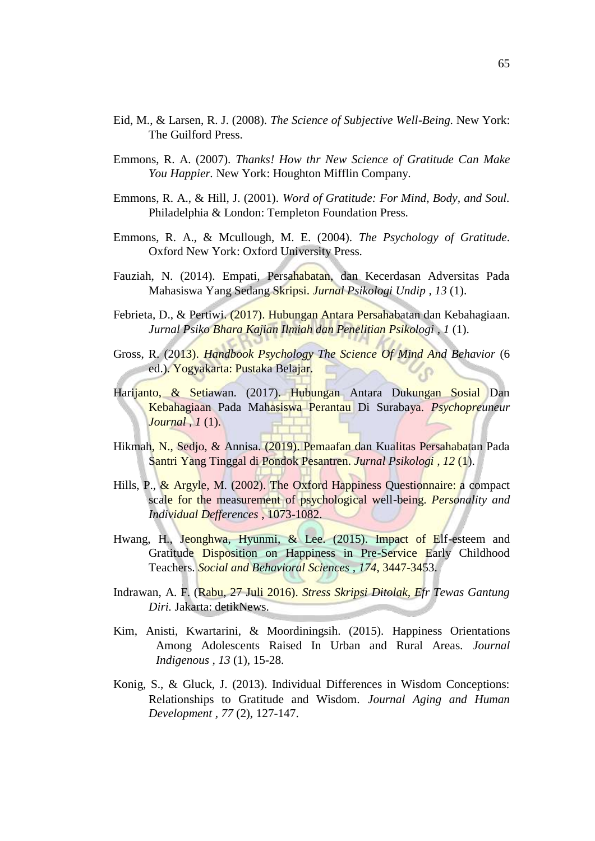- Eid, M., & Larsen, R. J. (2008). *The Science of Subjective Well-Being.* New York: The Guilford Press.
- Emmons, R. A. (2007). *Thanks! How thr New Science of Gratitude Can Make You Happier.* New York: Houghton Mifflin Company.
- Emmons, R. A., & Hill, J. (2001). *Word of Gratitude: For Mind, Body, and Soul.* Philadelphia & London: Templeton Foundation Press.
- Emmons, R. A., & Mcullough, M. E. (2004). *The Psychology of Gratitude.* Oxford New York: Oxford University Press.
- Fauziah, N. (2014). Empati, Persahabatan, dan Kecerdasan Adversitas Pada Mahasiswa Yang Sedang Skripsi. *Jurnal Psikologi Undip , 13* (1).
- Febrieta, D., & Pertiwi. (2017). Hubungan Antara Persahabatan dan Kebahagiaan. *Jurnal Psiko Bhara Kajian Ilmiah dan Penelitian Psikologi , 1* (1).
- Gross, R. (2013). *Handbook Psychology The Science Of Mind And Behavior* (6 ed.). Yogyakarta: Pustaka Belajar.
- Harijanto, & Setiawan. (2017). Hubungan Antara Dukungan Sosial Dan Kebahagiaan Pada Mahasiswa Perantau Di Surabaya. *Psychopreuneur Journal , 1* (1).
- Hikmah, N., Sedjo, & Annisa. (2019). Pemaafan dan Kualitas Persahabatan Pada Santri Yang Tinggal di Pondok Pesantren. *Jurnal Psikologi , 12* (1).
- Hills, P., & Argyle, M. (2002). The Oxford Happiness Questionnaire: a compact scale for the measurement of psychological well-being. *Personality and Individual Defferences* , 1073-1082.
- Hwang, H., Jeonghwa, Hyunmi, & Lee. (2015). Impact of Elf-esteem and Gratitude Disposition on Happiness in Pre-Service Early Childhood Teachers. *Social and Behavioral Sciences , 174*, 3447-3453.
- Indrawan, A. F. (Rabu, 27 Juli 2016). *Stress Skripsi Ditolak, Efr Tewas Gantung Diri.* Jakarta: detikNews.
- Kim, Anisti, Kwartarini, & Moordiningsih. (2015). Happiness Orientations Among Adolescents Raised In Urban and Rural Areas. *Journal Indigenous , 13* (1), 15-28.
- Konig, S., & Gluck, J. (2013). Individual Differences in Wisdom Conceptions: Relationships to Gratitude and Wisdom. *Journal Aging and Human Development , 77* (2), 127-147.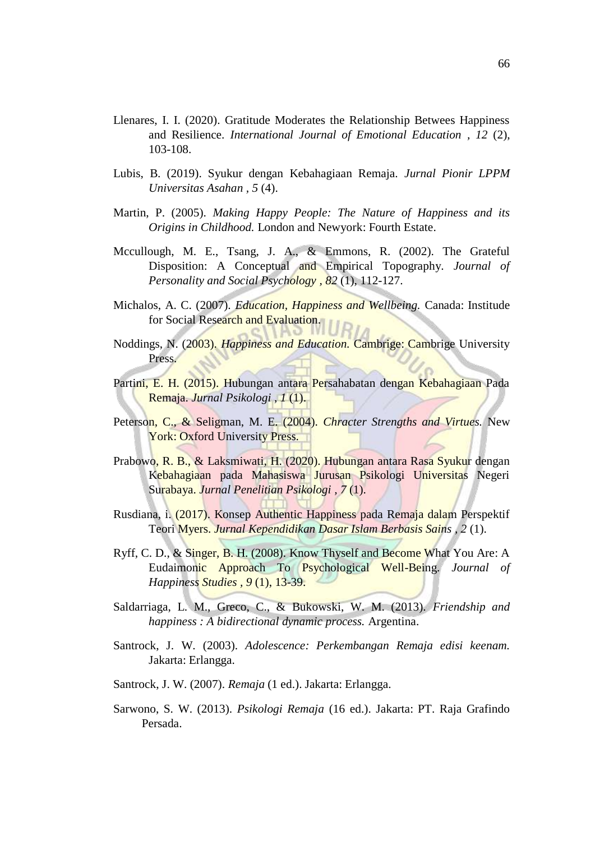- Llenares, I. I. (2020). Gratitude Moderates the Relationship Betwees Happiness and Resilience. *International Journal of Emotional Education , 12* (2), 103-108.
- Lubis, B. (2019). Syukur dengan Kebahagiaan Remaja. *Jurnal Pionir LPPM Universitas Asahan , 5* (4).
- Martin, P. (2005). *Making Happy People: The Nature of Happiness and its Origins in Childhood.* London and Newyork: Fourth Estate.
- Mccullough, M. E., Tsang, J. A., & Emmons, R. (2002). The Grateful Disposition: A Conceptual and Empirical Topography. *Journal of Personality and Social Psychology , 82* (1), 112-127.
- Michalos, A. C. (2007). *Education, Happiness and Wellbeing.* Canada: Institude for Social Research and Evaluation.
- Noddings, N. (2003). *Happiness and Education.* Cambrige: Cambrige University Press.
- Partini, E. H. (2015). Hubungan antara Persahabatan dengan Kebahagiaan Pada Remaja. *Jurnal Psikologi , 1* (1).
- Peterson, C., & Seligman, M. E. (2004). *Chracter Strengths and Virtues.* New York: Oxford University Press.
- Prabowo, R. B., & Laksmiwati, H. (2020). Hubungan antara Rasa Syukur dengan Kebahagiaan pada Mahasiswa Jurusan Psikologi Universitas Negeri Surabaya. *Jurnal Penelitian Psikologi , 7* (1).
- Rusdiana, i. (2017). Konsep Authentic Happiness pada Remaja dalam Perspektif Teori Myers. *Jurnal Kependidikan Dasar Islam Berbasis Sains , 2* (1).
- Ryff, C. D., & Singer, B. H. (2008). Know Thyself and Become What You Are: A Eudaimonic Approach To Psychological Well-Being. *Journal of Happiness Studies , 9* (1), 13-39.
- Saldarriaga, L. M., Greco, C., & Bukowski, W. M. (2013). *Friendship and happiness : A bidirectional dynamic process.* Argentina.
- Santrock, J. W. (2003). *Adolescence: Perkembangan Remaja edisi keenam.* Jakarta: Erlangga.
- Santrock, J. W. (2007). *Remaja* (1 ed.). Jakarta: Erlangga.
- Sarwono, S. W. (2013). *Psikologi Remaja* (16 ed.). Jakarta: PT. Raja Grafindo Persada.